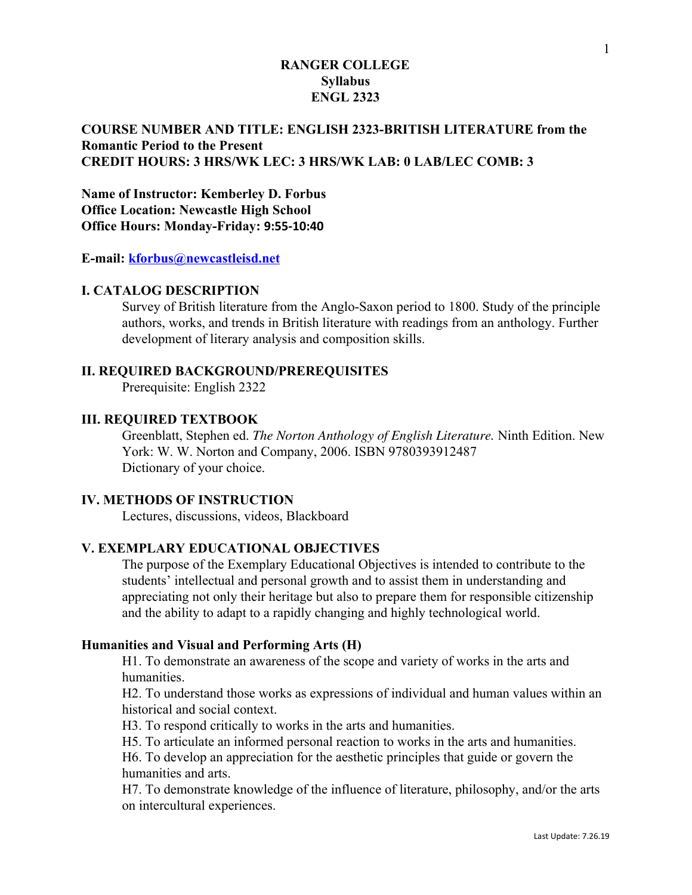## **COURSE NUMBER AND TITLE: ENGLISH 2323-BRITISH LITERATURE from the Romantic Period to the Present CREDIT HOURS: 3 HRS/WK LEC: 3 HRS/WK LAB: 0 LAB/LEC COMB: 3**

**Name of Instructor: Kemberley D. Forbus Office Location: Newcastle High School Office Hours: Monday-Friday: 9:55-10:40**

**E-mail: [kforbus@newcastleisd.net](mailto:kforbus@newcastleisd.net)**

#### **I. CATALOG DESCRIPTION**

Survey of British literature from the Anglo-Saxon period to 1800. Study of the principle authors, works, and trends in British literature with readings from an anthology. Further development of literary analysis and composition skills.

#### **II. REQUIRED BACKGROUND/PREREQUISITES**

Prerequisite: English 2322

## **III. REQUIRED TEXTBOOK**

Greenblatt, Stephen ed. *The Norton Anthology of English Literature.* Ninth Edition. New York: W. W. Norton and Company, 2006. ISBN 9780393912487 Dictionary of your choice.

## **IV. METHODS OF INSTRUCTION**

Lectures, discussions, videos, Blackboard

# **V. EXEMPLARY EDUCATIONAL OBJECTIVES**

The purpose of the Exemplary Educational Objectives is intended to contribute to the students' intellectual and personal growth and to assist them in understanding and appreciating not only their heritage but also to prepare them for responsible citizenship and the ability to adapt to a rapidly changing and highly technological world.

#### **Humanities and Visual and Performing Arts (H)**

H1. To demonstrate an awareness of the scope and variety of works in the arts and humanities.

H2. To understand those works as expressions of individual and human values within an historical and social context.

H3. To respond critically to works in the arts and humanities.

H5. To articulate an informed personal reaction to works in the arts and humanities.

H6. To develop an appreciation for the aesthetic principles that guide or govern the humanities and arts.

H7. To demonstrate knowledge of the influence of literature, philosophy, and/or the arts on intercultural experiences.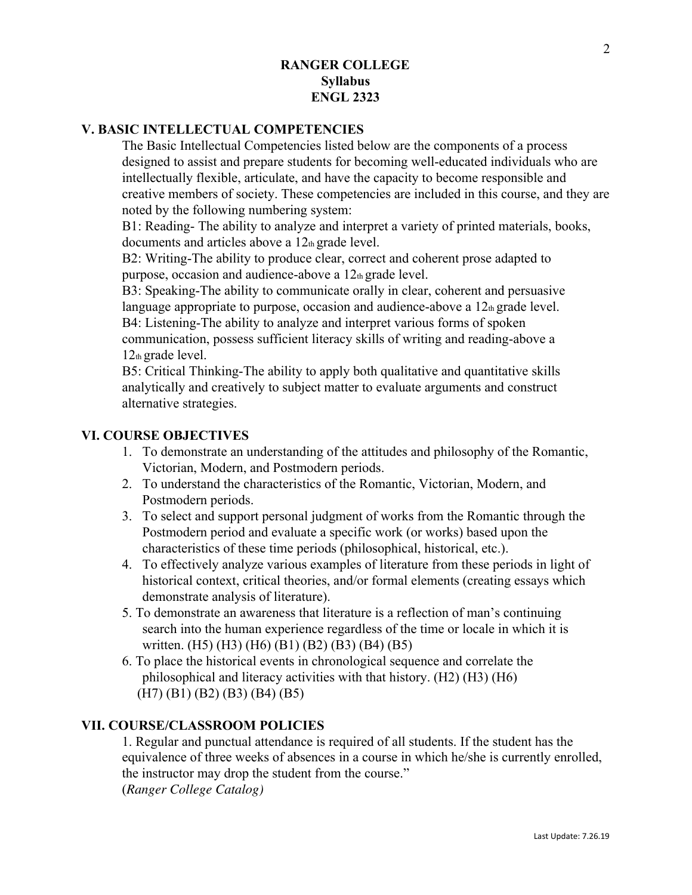## **V. BASIC INTELLECTUAL COMPETENCIES**

The Basic Intellectual Competencies listed below are the components of a process designed to assist and prepare students for becoming well-educated individuals who are intellectually flexible, articulate, and have the capacity to become responsible and creative members of society. These competencies are included in this course, and they are noted by the following numbering system:

B1: Reading- The ability to analyze and interpret a variety of printed materials, books, documents and articles above a 12th grade level.

B2: Writing-The ability to produce clear, correct and coherent prose adapted to purpose, occasion and audience-above a  $12<sub>th</sub>$  grade level.

B3: Speaking-The ability to communicate orally in clear, coherent and persuasive language appropriate to purpose, occasion and audience-above a  $12<sub>th</sub>$  grade level. B4: Listening-The ability to analyze and interpret various forms of spoken

communication, possess sufficient literacy skills of writing and reading-above a 12th grade level.

B5: Critical Thinking-The ability to apply both qualitative and quantitative skills analytically and creatively to subject matter to evaluate arguments and construct alternative strategies.

## **VI. COURSE OBJECTIVES**

- 1. To demonstrate an understanding of the attitudes and philosophy of the Romantic, Victorian, Modern, and Postmodern periods.
- 2. To understand the characteristics of the Romantic, Victorian, Modern, and Postmodern periods.
- 3. To select and support personal judgment of works from the Romantic through the Postmodern period and evaluate a specific work (or works) based upon the characteristics of these time periods (philosophical, historical, etc.).
- 4. To effectively analyze various examples of literature from these periods in light of historical context, critical theories, and/or formal elements (creating essays which demonstrate analysis of literature).
- 5. To demonstrate an awareness that literature is a reflection of man's continuing search into the human experience regardless of the time or locale in which it is written. (H5) (H3) (H6) (B1) (B2) (B3) (B4) (B5)
- 6. To place the historical events in chronological sequence and correlate the philosophical and literacy activities with that history. (H2) (H3) (H6) (H7) (B1) (B2) (B3) (B4) (B5)

## **VII. COURSE/CLASSROOM POLICIES**

1. Regular and punctual attendance is required of all students. If the student has the equivalence of three weeks of absences in a course in which he/she is currently enrolled, the instructor may drop the student from the course." (*Ranger College Catalog)*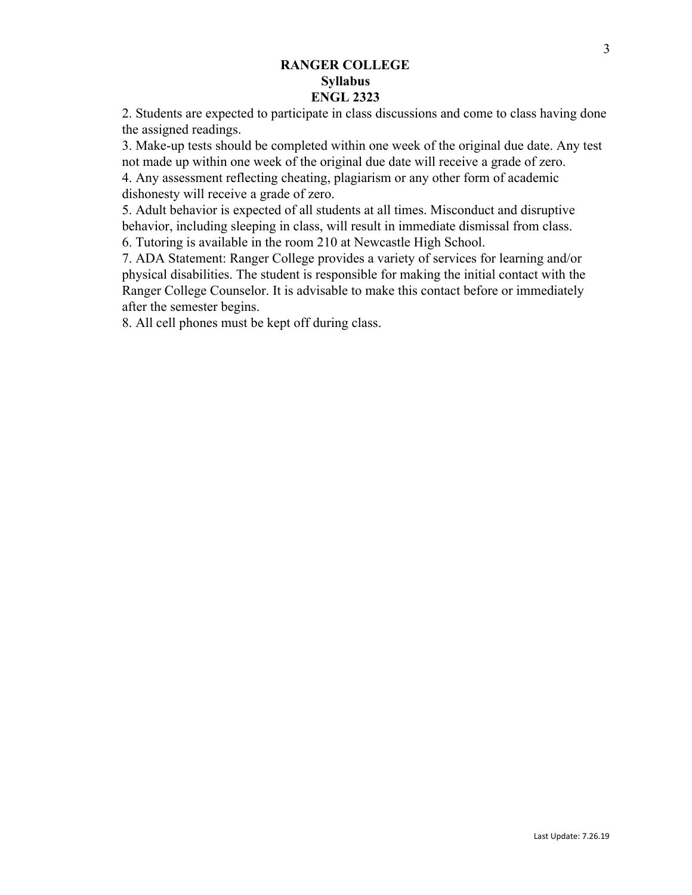2. Students are expected to participate in class discussions and come to class having done the assigned readings.

3. Make-up tests should be completed within one week of the original due date. Any test not made up within one week of the original due date will receive a grade of zero. 4. Any assessment reflecting cheating, plagiarism or any other form of academic

dishonesty will receive a grade of zero.

5. Adult behavior is expected of all students at all times. Misconduct and disruptive behavior, including sleeping in class, will result in immediate dismissal from class. 6. Tutoring is available in the room 210 at Newcastle High School.

7. ADA Statement: Ranger College provides a variety of services for learning and/or physical disabilities. The student is responsible for making the initial contact with the Ranger College Counselor. It is advisable to make this contact before or immediately after the semester begins.

8. All cell phones must be kept off during class.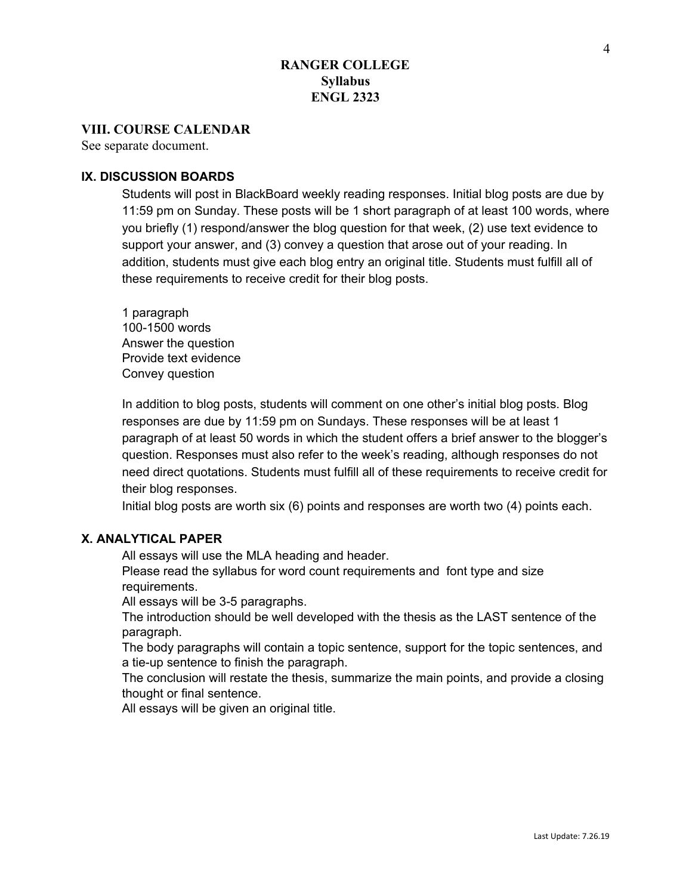#### **VIII. COURSE CALENDAR**

See separate document.

### **IX. DISCUSSION BOARDS**

Students will post in BlackBoard weekly reading responses. Initial blog posts are due by 11:59 pm on Sunday. These posts will be 1 short paragraph of at least 100 words, where you briefly (1) respond/answer the blog question for that week, (2) use text evidence to support your answer, and (3) convey a question that arose out of your reading. In addition, students must give each blog entry an original title. Students must fulfill all of these requirements to receive credit for their blog posts.

1 paragraph 100-1500 words Answer the question Provide text evidence Convey question

In addition to blog posts, students will comment on one other's initial blog posts. Blog responses are due by 11:59 pm on Sundays. These responses will be at least 1 paragraph of at least 50 words in which the student offers a brief answer to the blogger's question. Responses must also refer to the week's reading, although responses do not need direct quotations. Students must fulfill all of these requirements to receive credit for their blog responses.

Initial blog posts are worth six (6) points and responses are worth two (4) points each.

## **X. ANALYTICAL PAPER**

All essays will use the MLA heading and header.

Please read the syllabus for word count requirements and font type and size requirements.

All essays will be 3-5 paragraphs.

The introduction should be well developed with the thesis as the LAST sentence of the paragraph.

The body paragraphs will contain a topic sentence, support for the topic sentences, and a tie-up sentence to finish the paragraph.

The conclusion will restate the thesis, summarize the main points, and provide a closing thought or final sentence.

All essays will be given an original title.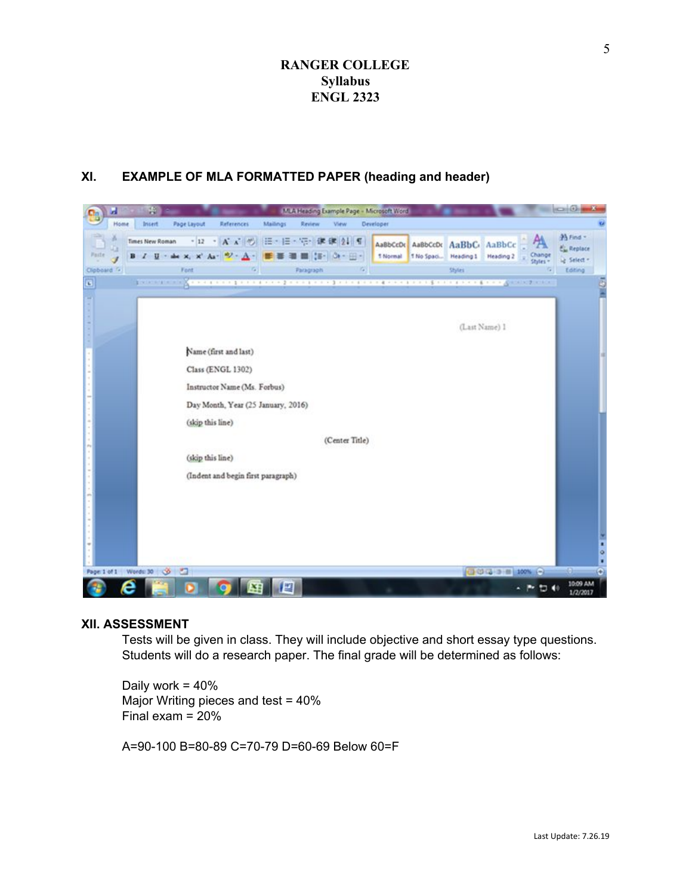# **XI. EXAMPLE OF MLA FORMATTED PAPER (heading and header)**



#### **XII. ASSESSMENT**

Tests will be given in class. They will include objective and short essay type questions. Students will do a research paper. The final grade will be determined as follows:

Daily work = 40% Major Writing pieces and test = 40% Final exam = 20%

A=90-100 B=80-89 C=70-79 D=60-69 Below 60=F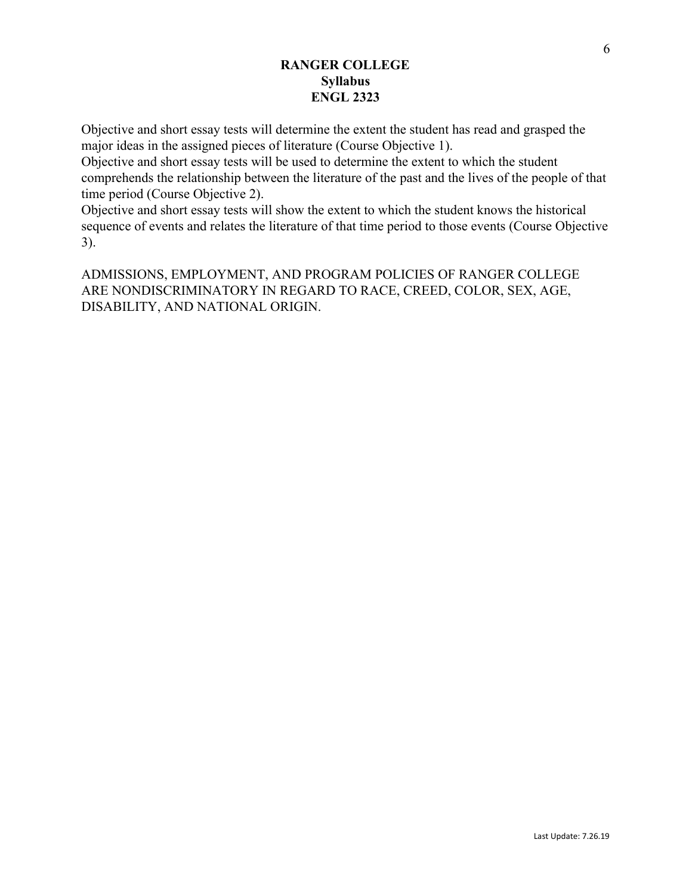Objective and short essay tests will determine the extent the student has read and grasped the major ideas in the assigned pieces of literature (Course Objective 1).

Objective and short essay tests will be used to determine the extent to which the student comprehends the relationship between the literature of the past and the lives of the people of that time period (Course Objective 2).

Objective and short essay tests will show the extent to which the student knows the historical sequence of events and relates the literature of that time period to those events (Course Objective 3).

ADMISSIONS, EMPLOYMENT, AND PROGRAM POLICIES OF RANGER COLLEGE ARE NONDISCRIMINATORY IN REGARD TO RACE, CREED, COLOR, SEX, AGE, DISABILITY, AND NATIONAL ORIGIN.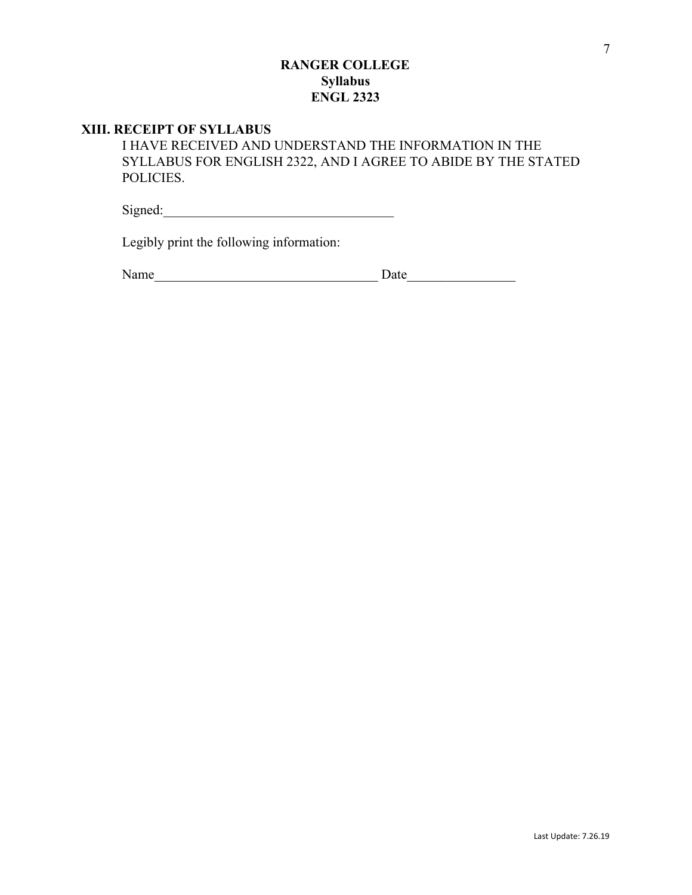### **XIII. RECEIPT OF SYLLABUS**

I HAVE RECEIVED AND UNDERSTAND THE INFORMATION IN THE SYLLABUS FOR ENGLISH 2322, AND I AGREE TO ABIDE BY THE STATED POLICIES.

 $Signed: \begin{tabular}{|c|c|c|c|c|} \hline \hline \multicolumn{3}{|c|}{3} & \multicolumn{3}{|c|}{5} & \multicolumn{3}{|c|}{5} \\ \hline \multicolumn{3}{|c|}{5} & \multicolumn{3}{|c|}{5} & \multicolumn{3}{|c|}{5} & \multicolumn{3}{|c|}{5} & \multicolumn{3}{|c|}{5} & \multicolumn{3}{|c|}{5} & \multicolumn{3}{|c|}{5} & \multicolumn{3}{|c|}{5} & \multicolumn{3}{|c|}{5} & \multicolumn{3}{|c|}{5} & \multicolumn{3}{|$ 

Legibly print the following information:

Name\_\_\_\_\_\_\_\_\_\_\_\_\_\_\_\_\_\_\_\_\_\_\_\_\_\_\_\_\_\_\_\_\_ Date\_\_\_\_\_\_\_\_\_\_\_\_\_\_\_\_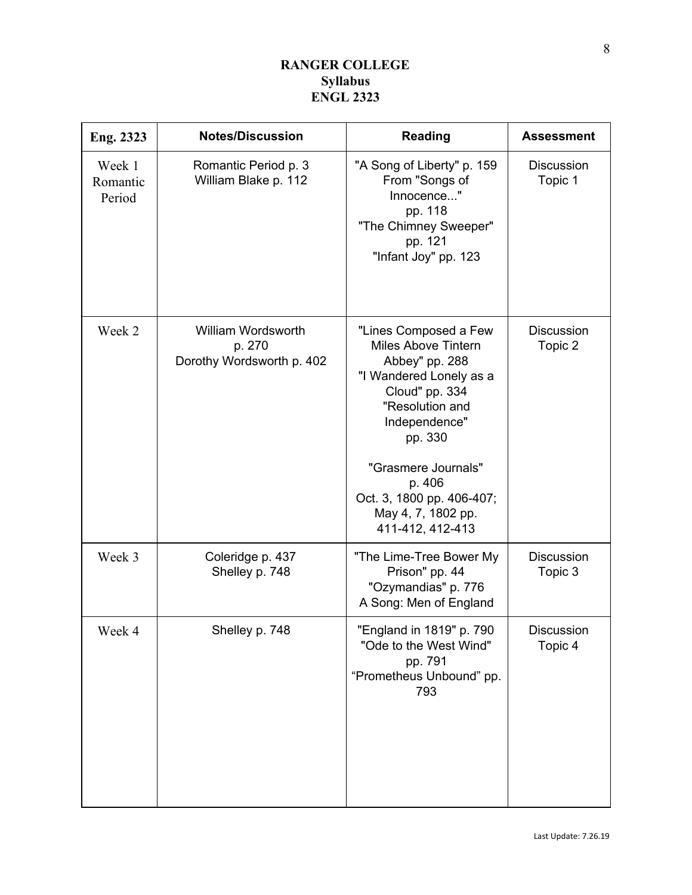| Eng. 2323                    | <b>Notes/Discussion</b>                                   | <b>Reading</b>                                                                                                                                                                                                                                                            | <b>Assessment</b>            |
|------------------------------|-----------------------------------------------------------|---------------------------------------------------------------------------------------------------------------------------------------------------------------------------------------------------------------------------------------------------------------------------|------------------------------|
| Week 1<br>Romantic<br>Period | Romantic Period p. 3<br>William Blake p. 112              | "A Song of Liberty" p. 159<br>From "Songs of<br>Innocence"<br>pp. 118<br>"The Chimney Sweeper"<br>pp. 121<br>"Infant Joy" pp. 123                                                                                                                                         | <b>Discussion</b><br>Topic 1 |
| Week 2                       | William Wordsworth<br>p. 270<br>Dorothy Wordsworth p. 402 | "Lines Composed a Few<br><b>Miles Above Tintern</b><br>Abbey" pp. 288<br>"I Wandered Lonely as a<br>Cloud" pp. 334<br>"Resolution and<br>Independence"<br>pp. 330<br>"Grasmere Journals"<br>p. 406<br>Oct. 3, 1800 pp. 406-407;<br>May 4, 7, 1802 pp.<br>411-412, 412-413 | <b>Discussion</b><br>Topic 2 |
| Week 3                       | Coleridge p. 437<br>Shelley p. 748                        | "The Lime-Tree Bower My<br>Prison" pp. 44<br>"Ozymandias" p. 776<br>A Song: Men of England                                                                                                                                                                                | <b>Discussion</b><br>Topic 3 |
| Week 4                       | Shelley p. 748                                            | "England in 1819" p. 790<br>"Ode to the West Wind"<br>pp. 791<br>"Prometheus Unbound" pp.<br>793                                                                                                                                                                          | Discussion<br>Topic 4        |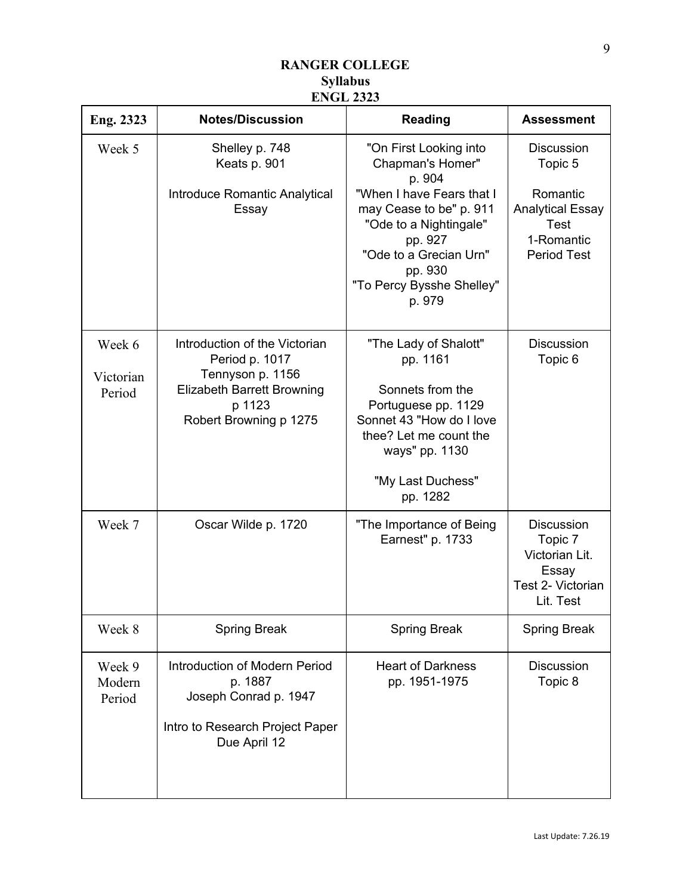| Eng. 2323                     | <b>Notes/Discussion</b>                                                                                                                      | <b>Reading</b>                                                                                                                                                                                                                | <b>Assessment</b>                                                                                                      |
|-------------------------------|----------------------------------------------------------------------------------------------------------------------------------------------|-------------------------------------------------------------------------------------------------------------------------------------------------------------------------------------------------------------------------------|------------------------------------------------------------------------------------------------------------------------|
| Week 5                        | Shelley p. 748<br>Keats p. 901<br>Introduce Romantic Analytical<br>Essay                                                                     | "On First Looking into<br>Chapman's Homer"<br>p. 904<br>"When I have Fears that I<br>may Cease to be" p. 911<br>"Ode to a Nightingale"<br>pp. 927<br>"Ode to a Grecian Urn"<br>pp. 930<br>"To Percy Bysshe Shelley"<br>p. 979 | <b>Discussion</b><br>Topic 5<br>Romantic<br><b>Analytical Essay</b><br><b>Test</b><br>1-Romantic<br><b>Period Test</b> |
| Week 6<br>Victorian<br>Period | Introduction of the Victorian<br>Period p. 1017<br>Tennyson p. 1156<br><b>Elizabeth Barrett Browning</b><br>p 1123<br>Robert Browning p 1275 | "The Lady of Shalott"<br>pp. 1161<br>Sonnets from the<br>Portuguese pp. 1129<br>Sonnet 43 "How do I love<br>thee? Let me count the<br>ways" pp. 1130<br>"My Last Duchess"<br>pp. 1282                                         | <b>Discussion</b><br>Topic 6                                                                                           |
| Week 7                        | Oscar Wilde p. 1720                                                                                                                          | "The Importance of Being<br>Earnest" p. 1733                                                                                                                                                                                  | <b>Discussion</b><br>Topic 7<br>Victorian Lit.<br>Essay<br>Test 2- Victorian<br>Lit. Test                              |
| Week 8                        | <b>Spring Break</b>                                                                                                                          | <b>Spring Break</b>                                                                                                                                                                                                           | <b>Spring Break</b>                                                                                                    |
| Week 9<br>Modern<br>Period    | <b>Introduction of Modern Period</b><br>p. 1887<br>Joseph Conrad p. 1947<br>Intro to Research Project Paper<br>Due April 12                  | <b>Heart of Darkness</b><br>pp. 1951-1975                                                                                                                                                                                     | <b>Discussion</b><br>Topic 8                                                                                           |